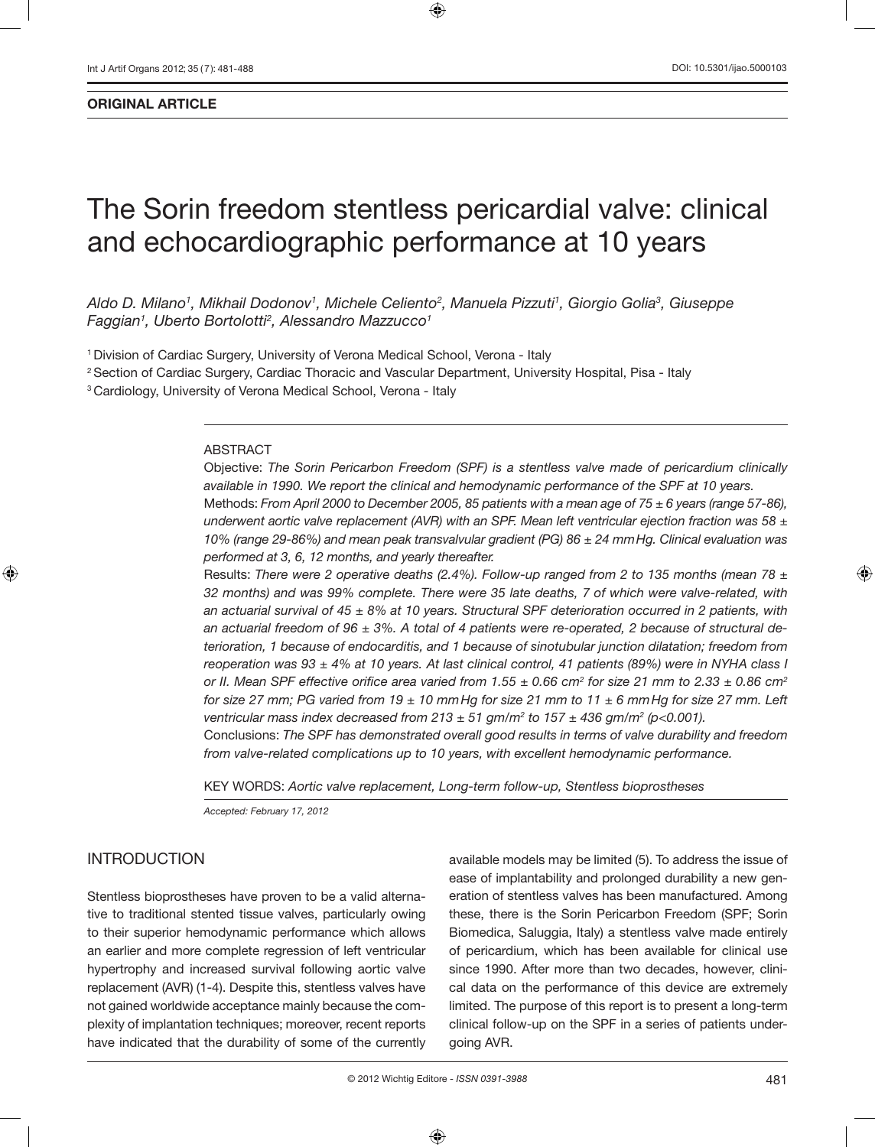# The Sorin freedom stentless pericardial valve: clinical and echocardiographic performance at 10 years

*Aldo D. Milano1 , Mikhail Dodonov1 , Michele Celiento2 , Manuela Pizzuti1 , Giorgio Golia3 , Giuseppe Faggian1 , Uberto Bortolotti2 , Alessandro Mazzucco1*

1 Division of Cardiac Surgery, University of Verona Medical School, Verona - Italy

2 Section of Cardiac Surgery, Cardiac Thoracic and Vascular Department, University Hospital, Pisa - Italy <sup>3</sup> Cardiology, University of Verona Medical School, Verona - Italy

#### ABSTRACT

Objective: *The Sorin Pericarbon Freedom (SPF) is a stentless valve made of pericardium clinically available in 1990. We report the clinical and hemodynamic performance of the SPF at 10 years.*  Methods: *From April 2000 to December 2005, 85 patients with a mean age of 75 ± 6 years (range 57-86), underwent aortic valve replacement (AVR) with an SPF. Mean left ventricular ejection fraction was 58 ± 10% (range 29-86%) and mean peak transvalvular gradient (PG) 86 ± 24 mmHg. Clinical evaluation was performed at 3, 6, 12 months, and yearly thereafter.*

Results: *There were 2 operative deaths (2.4%). Follow-up ranged from 2 to 135 months (mean 78 ± 32 months) and was 99% complete. There were 35 late deaths, 7 of which were valve-related, with an actuarial survival of 45 ± 8% at 10 years. Structural SPF deterioration occurred in 2 patients, with an actuarial freedom of 96 ± 3%. A total of 4 patients were re-operated, 2 because of structural deterioration, 1 because of endocarditis, and 1 because of sinotubular junction dilatation; freedom from reoperation was 93 ± 4% at 10 years. At last clinical control, 41 patients (89%) were in NYHA class I or II. Mean SPF effective orifice area varied from 1.55*  $\pm$  *0.66 cm* $^2$  *for size 21 mm to 2.33*  $\pm$  *0.86 cm* $^2$ *for size 27 mm; PG varied from 19 ± 10 mmHg for size 21 mm to 11 ± 6 mmHg for size 27 mm. Left ventricular mass index decreased from 213 ± 51 gm/m2 to 157 ± 436 gm/m2 (p<0.001).* Conclusions: *The SPF has demonstrated overall good results in terms of valve durability and freedom from valve-related complications up to 10 years, with excellent hemodynamic performance.*

KEY WORDS: *Aortic valve replacement, Long-term follow-up, Stentless bioprostheses* 

*Accepted: February 17, 2012*

#### INTRODUCTION

Stentless bioprostheses have proven to be a valid alternative to traditional stented tissue valves, particularly owing to their superior hemodynamic performance which allows an earlier and more complete regression of left ventricular hypertrophy and increased survival following aortic valve replacement (AVR) (1-4). Despite this, stentless valves have not gained worldwide acceptance mainly because the complexity of implantation techniques; moreover, recent reports have indicated that the durability of some of the currently

available models may be limited (5). To address the issue of ease of implantability and prolonged durability a new generation of stentless valves has been manufactured. Among these, there is the Sorin Pericarbon Freedom (SPF; Sorin Biomedica, Saluggia, Italy) a stentless valve made entirely of pericardium, which has been available for clinical use since 1990. After more than two decades, however, clinical data on the performance of this device are extremely limited. The purpose of this report is to present a long-term clinical follow-up on the SPF in a series of patients undergoing AVR.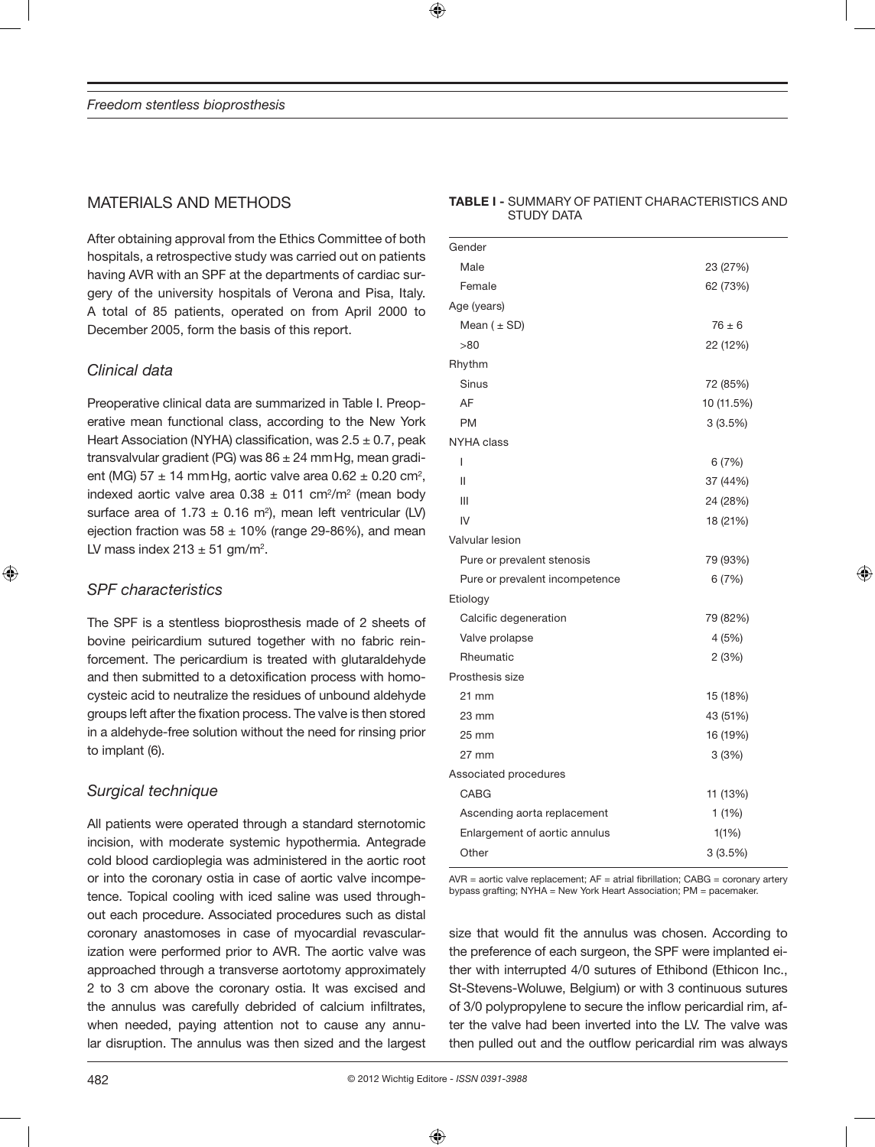## MATERIALS AND METHODS

After obtaining approval from the Ethics Committee of both hospitals, a retrospective study was carried out on patients having AVR with an SPF at the departments of cardiac surgery of the university hospitals of Verona and Pisa, Italy. A total of 85 patients, operated on from April 2000 to December 2005, form the basis of this report.

## *Clinical data*

Preoperative clinical data are summarized in Table I. Preoperative mean functional class, according to the New York Heart Association (NYHA) classification, was  $2.5 \pm 0.7$ , peak transvalvular gradient (PG) was  $86 \pm 24$  mm Hg, mean gradient (MG)  $57 \pm 14$  mm Hg, aortic valve area 0.62  $\pm$  0.20 cm<sup>2</sup>, indexed aortic valve area  $0.38 \pm 011$  cm<sup>2</sup>/m<sup>2</sup> (mean body surface area of 1.73  $\pm$  0.16 m<sup>2</sup>), mean left ventricular (LV) ejection fraction was  $58 \pm 10\%$  (range 29-86%), and mean LV mass index  $213 \pm 51$  gm/m<sup>2</sup>.

## *SPF characteristics*

The SPF is a stentless bioprosthesis made of 2 sheets of bovine peiricardium sutured together with no fabric reinforcement. The pericardium is treated with glutaraldehyde and then submitted to a detoxification process with homocysteic acid to neutralize the residues of unbound aldehyde groups left after the fixation process. The valve is then stored in a aldehyde-free solution without the need for rinsing prior to implant (6).

## *Surgical technique*

All patients were operated through a standard sternotomic incision, with moderate systemic hypothermia. Antegrade cold blood cardioplegia was administered in the aortic root or into the coronary ostia in case of aortic valve incompetence. Topical cooling with iced saline was used throughout each procedure. Associated procedures such as distal coronary anastomoses in case of myocardial revascularization were performed prior to AVR. The aortic valve was approached through a transverse aortotomy approximately 2 to 3 cm above the coronary ostia. It was excised and the annulus was carefully debrided of calcium infiltrates, when needed, paying attention not to cause any annular disruption. The annulus was then sized and the largest

## Gender Male 23 (27%) Female 62 (73%) Age (years) Mean  $(\pm SD)$  76  $\pm 6$ >80 22 (12%) Rhythm Sinus 72 (85%) AF 10 (11.5%) PM 3 (3.5%) NYHA class  $1$  6 (7%)  $11$  37 (44%) III 24 (28%)  $IV$  18 (21%) Valvular lesion Pure or prevalent stenosis 79 (93%) Pure or prevalent incompetence 6 (7%) Etiology Calcific degeneration 79 (82%) Valve prolapse 4 (5%) Rheumatic 2 (3%) Prosthesis size 21 mm 15 (18%) 23 mm 43 (51%)

**TABLE I -** SUMMARY OF PATIENT CHARACTERISTICS AND

STUDY DATA

| $23 \text{ mm}$               | 43 (51%) |
|-------------------------------|----------|
| $25 \text{ mm}$               | 16 (19%) |
| $27 \text{ mm}$               | 3(3%)    |
| Associated procedures         |          |
| CABG                          | 11 (13%) |
| Ascending aorta replacement   | 1(1%)    |
| Enlargement of aortic annulus | 1(1%)    |
| Other                         | 3(3.5%)  |

 $AVR =$  aortic valve replacement;  $AF =$  atrial fibrillation;  $CABG =$  coronary artery bypass grafting; NYHA = New York Heart Association; PM = pacemaker.

size that would fit the annulus was chosen. According to the preference of each surgeon, the SPF were implanted either with interrupted 4/0 sutures of Ethibond (Ethicon Inc., St-Stevens-Woluwe, Belgium) or with 3 continuous sutures of 3/0 polypropylene to secure the inflow pericardial rim, after the valve had been inverted into the LV. The valve was then pulled out and the outflow pericardial rim was always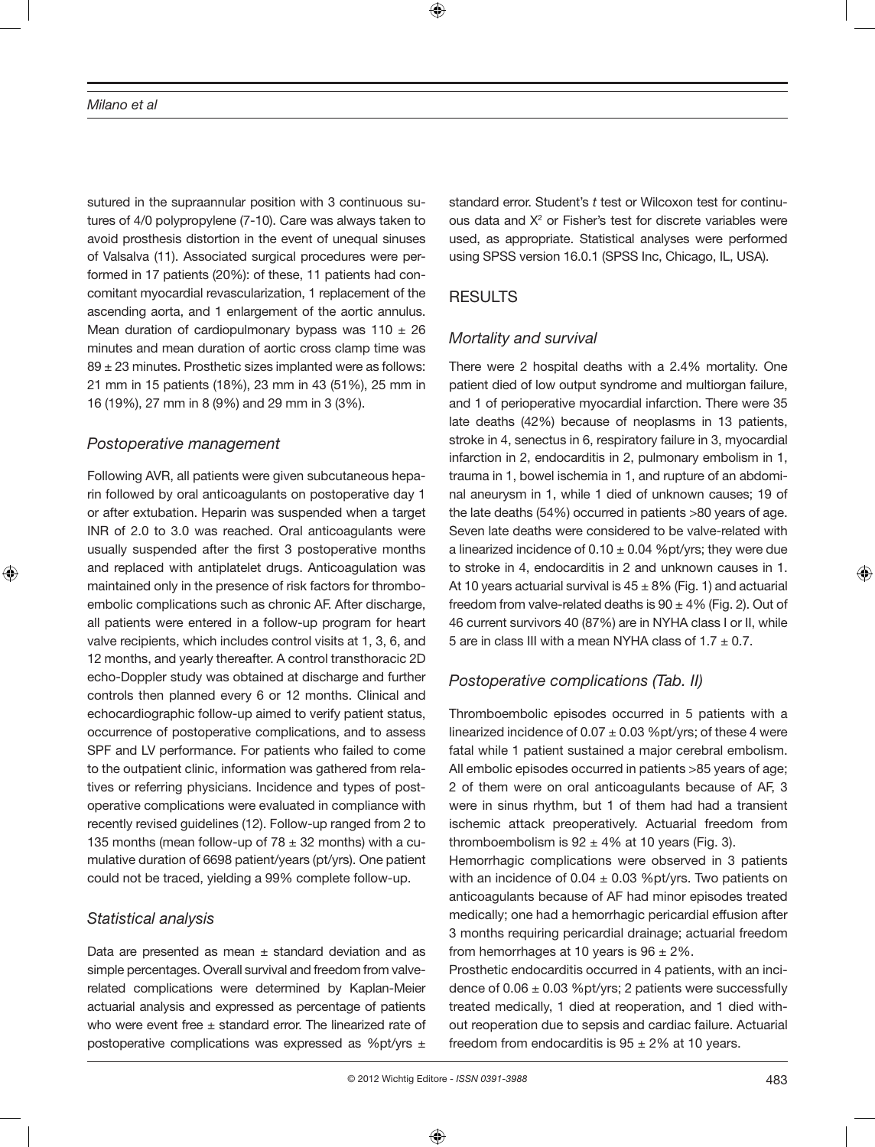sutured in the supraannular position with 3 continuous sutures of 4/0 polypropylene (7-10). Care was always taken to avoid prosthesis distortion in the event of unequal sinuses of Valsalva (11). Associated surgical procedures were performed in 17 patients (20%): of these, 11 patients had concomitant myocardial revascularization, 1 replacement of the ascending aorta, and 1 enlargement of the aortic annulus. Mean duration of cardiopulmonary bypass was  $110 \pm 26$ minutes and mean duration of aortic cross clamp time was 89 ± 23 minutes. Prosthetic sizes implanted were as follows: 21 mm in 15 patients (18%), 23 mm in 43 (51%), 25 mm in 16 (19%), 27 mm in 8 (9%) and 29 mm in 3 (3%).

#### *Postoperative management*

Following AVR, all patients were given subcutaneous heparin followed by oral anticoagulants on postoperative day 1 or after extubation. Heparin was suspended when a target INR of 2.0 to 3.0 was reached. Oral anticoagulants were usually suspended after the first 3 postoperative months and replaced with antiplatelet drugs. Anticoagulation was maintained only in the presence of risk factors for thromboembolic complications such as chronic AF. After discharge, all patients were entered in a follow-up program for heart valve recipients, which includes control visits at 1, 3, 6, and 12 months, and yearly thereafter. A control transthoracic 2D echo-Doppler study was obtained at discharge and further controls then planned every 6 or 12 months. Clinical and echocardiographic follow-up aimed to verify patient status, occurrence of postoperative complications, and to assess SPF and LV performance. For patients who failed to come to the outpatient clinic, information was gathered from relatives or referring physicians. Incidence and types of postoperative complications were evaluated in compliance with recently revised guidelines (12). Follow-up ranged from 2 to 135 months (mean follow-up of  $78 \pm 32$  months) with a cumulative duration of 6698 patient/years (pt/yrs). One patient could not be traced, yielding a 99% complete follow-up.

### *Statistical analysis*

Data are presented as mean  $\pm$  standard deviation and as simple percentages. Overall survival and freedom from valverelated complications were determined by Kaplan-Meier actuarial analysis and expressed as percentage of patients who were event free  $\pm$  standard error. The linearized rate of postoperative complications was expressed as %pt/yrs  $\pm$ 

standard error. Student's *t* test or Wilcoxon test for continuous data and  $X^2$  or Fisher's test for discrete variables were used, as appropriate. Statistical analyses were performed using SPSS version 16.0.1 (SPSS Inc, Chicago, IL, USA).

## **RESULTS**

## *Mortality and survival*

There were 2 hospital deaths with a 2.4% mortality. One patient died of low output syndrome and multiorgan failure, and 1 of perioperative myocardial infarction. There were 35 late deaths (42%) because of neoplasms in 13 patients, stroke in 4, senectus in 6, respiratory failure in 3, myocardial infarction in 2, endocarditis in 2, pulmonary embolism in 1, trauma in 1, bowel ischemia in 1, and rupture of an abdominal aneurysm in 1, while 1 died of unknown causes; 19 of the late deaths (54%) occurred in patients >80 years of age. Seven late deaths were considered to be valve-related with a linearized incidence of  $0.10 \pm 0.04$  %pt/yrs; they were due to stroke in 4, endocarditis in 2 and unknown causes in 1. At 10 years actuarial survival is  $45 \pm 8\%$  (Fig. 1) and actuarial freedom from valve-related deaths is  $90 \pm 4\%$  (Fig. 2). Out of 46 current survivors 40 (87%) are in NYHA class I or II, while 5 are in class III with a mean NYHA class of  $1.7 \pm 0.7$ .

## *Postoperative complications (Tab. II)*

Thromboembolic episodes occurred in 5 patients with a linearized incidence of  $0.07 \pm 0.03$  %pt/yrs; of these 4 were fatal while 1 patient sustained a major cerebral embolism. All embolic episodes occurred in patients >85 years of age; 2 of them were on oral anticoagulants because of AF, 3 were in sinus rhythm, but 1 of them had had a transient ischemic attack preoperatively. Actuarial freedom from thromboembolism is  $92 \pm 4\%$  at 10 years (Fig. 3).

Hemorrhagic complications were observed in 3 patients with an incidence of  $0.04 \pm 0.03$  %pt/yrs. Two patients on anticoagulants because of AF had minor episodes treated medically; one had a hemorrhagic pericardial effusion after 3 months requiring pericardial drainage; actuarial freedom from hemorrhages at 10 years is  $96 \pm 2\%$ .

Prosthetic endocarditis occurred in 4 patients, with an incidence of  $0.06 \pm 0.03$  %pt/yrs; 2 patients were successfully treated medically, 1 died at reoperation, and 1 died without reoperation due to sepsis and cardiac failure. Actuarial freedom from endocarditis is  $95 \pm 2\%$  at 10 years.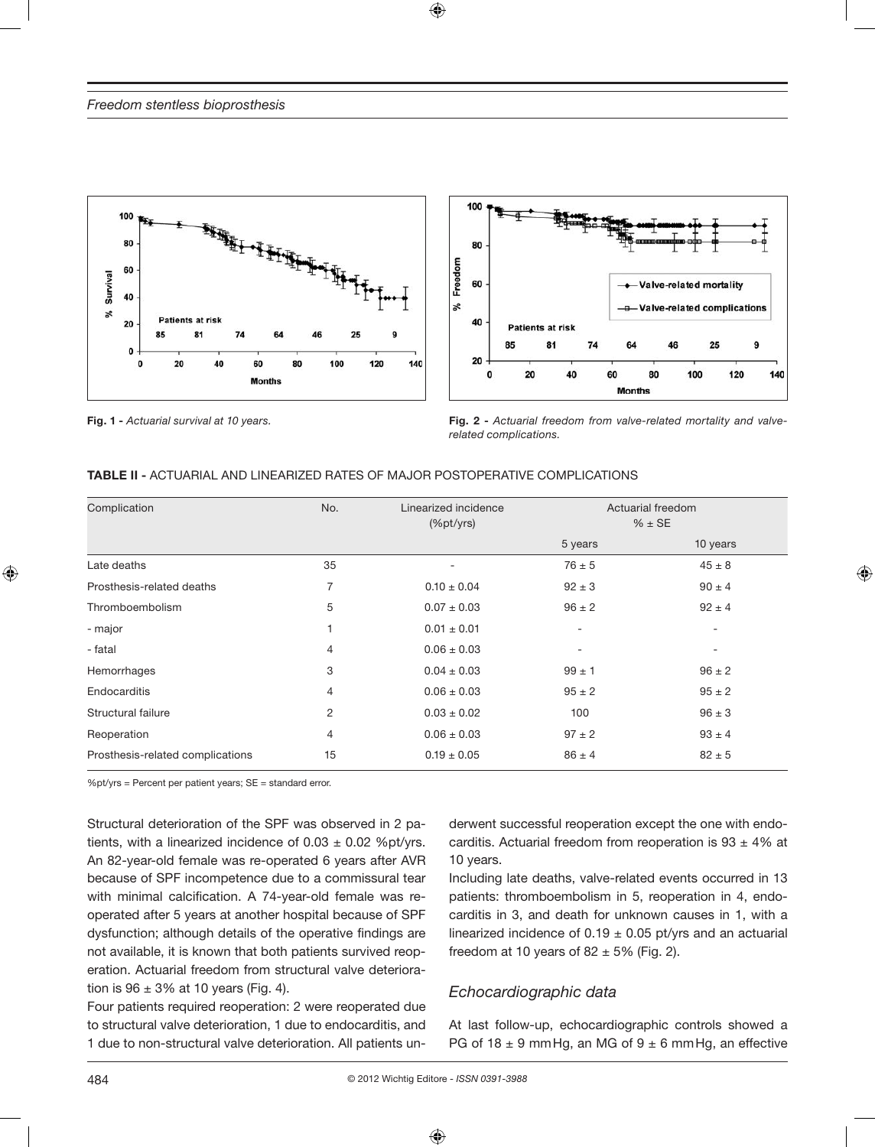



**Fig. 1 -** *Actuarial survival at 10 years.* **Fig. 2 -** *Actuarial freedom from valve-related mortality and valverelated complications.*

| <b>TABLE II -</b> ACTUARIAL AND LINEARIZED RATES OF MAJOR POSTOPERATIVE COMPLICATIONS |  |  |  |  |
|---------------------------------------------------------------------------------------|--|--|--|--|
|                                                                                       |  |  |  |  |

| Complication                     | No. | Linearized incidence<br>(%pt/yrs) | Actuarial freedom<br>$% \pm SE$ |            |
|----------------------------------|-----|-----------------------------------|---------------------------------|------------|
|                                  |     |                                   | 5 years                         | 10 years   |
| Late deaths                      | 35  |                                   | $76 \pm 5$                      | $45 \pm 8$ |
| Prosthesis-related deaths        | 7   | $0.10 \pm 0.04$                   | $92 \pm 3$                      | $90 \pm 4$ |
| Thromboembolism                  | 5   | $0.07 \pm 0.03$                   | $96 \pm 2$                      | $92 \pm 4$ |
| - major                          | 1   | $0.01 \pm 0.01$                   | ٠                               | ۰          |
| - fatal                          | 4   | $0.06 \pm 0.03$                   | $\overline{a}$                  | -          |
| Hemorrhages                      | 3   | $0.04 \pm 0.03$                   | $99 \pm 1$                      | $96 \pm 2$ |
| Endocarditis                     | 4   | $0.06 \pm 0.03$                   | $95 \pm 2$                      | $95 \pm 2$ |
| Structural failure               | 2   | $0.03 \pm 0.02$                   | 100                             | $96 \pm 3$ |
| Reoperation                      | 4   | $0.06 \pm 0.03$                   | $97 \pm 2$                      | $93 \pm 4$ |
| Prosthesis-related complications | 15  | $0.19 \pm 0.05$                   | $86 \pm 4$                      | $82 \pm 5$ |

%pt/yrs = Percent per patient years; SE = standard error.

Structural deterioration of the SPF was observed in 2 patients, with a linearized incidence of  $0.03 \pm 0.02$  %pt/yrs. An 82-year-old female was re-operated 6 years after AVR because of SPF incompetence due to a commissural tear with minimal calcification. A 74-year-old female was reoperated after 5 years at another hospital because of SPF dysfunction; although details of the operative findings are not available, it is known that both patients survived reoperation. Actuarial freedom from structural valve deterioration is  $96 \pm 3\%$  at 10 years (Fig. 4).

Four patients required reoperation: 2 were reoperated due to structural valve deterioration, 1 due to endocarditis, and 1 due to non-structural valve deterioration. All patients underwent successful reoperation except the one with endocarditis. Actuarial freedom from reoperation is  $93 \pm 4\%$  at 10 years.

Including late deaths, valve-related events occurred in 13 patients: thromboembolism in 5, reoperation in 4, endocarditis in 3, and death for unknown causes in 1, with a linearized incidence of  $0.19 \pm 0.05$  pt/yrs and an actuarial freedom at 10 years of  $82 \pm 5\%$  (Fig. 2).

### *Echocardiographic data*

At last follow-up, echocardiographic controls showed a PG of 18  $\pm$  9 mm Hg, an MG of 9  $\pm$  6 mm Hg, an effective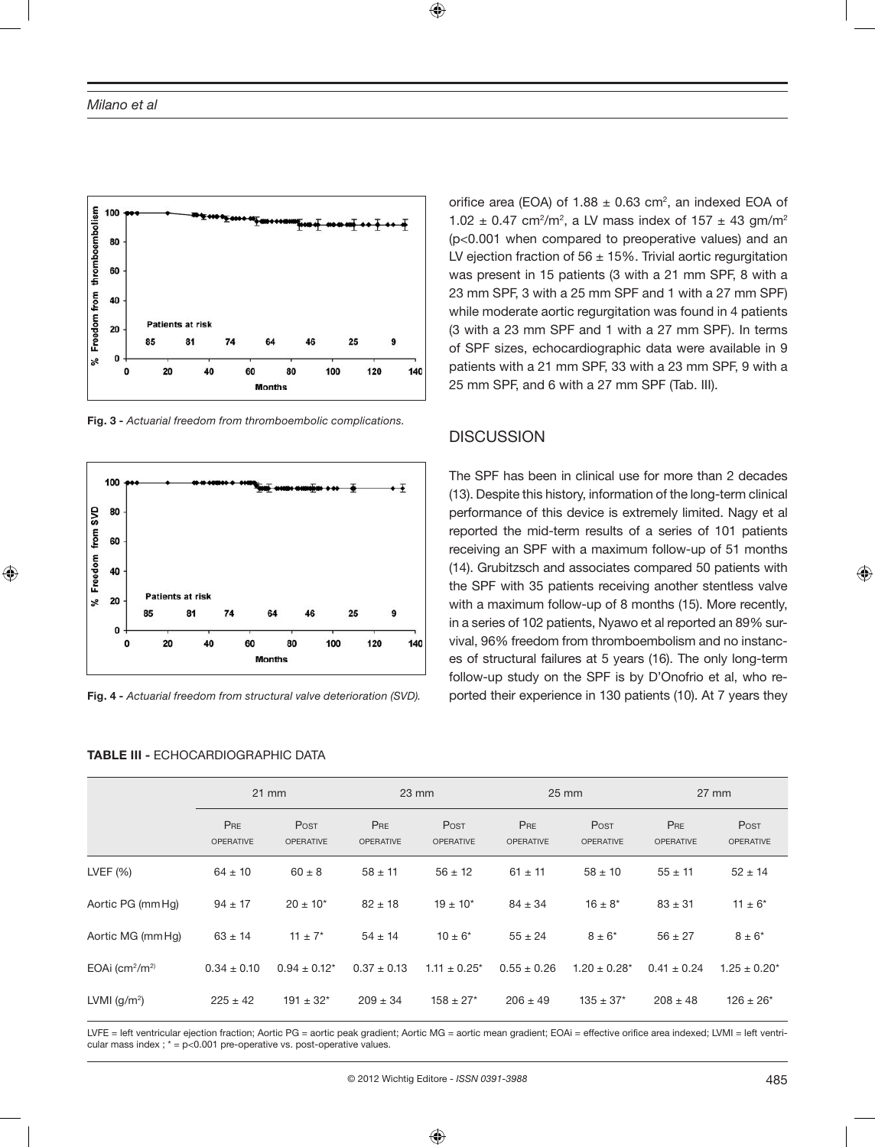

**Fig. 3 -** *Actuarial freedom from thromboembolic complications.*



**Fig. 4 -** *Actuarial freedom from structural valve deterioration (SVD).*

**TABLE III -** ECHOCARDIOGRAPHIC DATA

orifice area (EOA) of  $1.88 \pm 0.63$  cm<sup>2</sup>, an indexed EOA of 1.02  $\pm$  0.47 cm<sup>2</sup>/m<sup>2</sup>, a LV mass index of 157  $\pm$  43 gm/m<sup>2</sup> (p<0.001 when compared to preoperative values) and an LV ejection fraction of 56  $\pm$  15%. Trivial aortic regurgitation was present in 15 patients (3 with a 21 mm SPF, 8 with a 23 mm SPF, 3 with a 25 mm SPF and 1 with a 27 mm SPF) while moderate aortic regurgitation was found in 4 patients (3 with a 23 mm SPF and 1 with a 27 mm SPF). In terms of SPF sizes, echocardiographic data were available in 9 patients with a 21 mm SPF, 33 with a 23 mm SPF, 9 with a 25 mm SPF, and 6 with a 27 mm SPF (Tab. III).

#### **DISCUSSION**

The SPF has been in clinical use for more than 2 decades (13). Despite this history, information of the long-term clinical performance of this device is extremely limited. Nagy et al reported the mid-term results of a series of 101 patients receiving an SPF with a maximum follow-up of 51 months (14). Grubitzsch and associates compared 50 patients with the SPF with 35 patients receiving another stentless valve with a maximum follow-up of 8 months (15). More recently, in a series of 102 patients, Nyawo et al reported an 89% survival, 96% freedom from thromboembolism and no instances of structural failures at 5 years (16). The only long-term follow-up study on the SPF is by D'Onofrio et al, who reported their experience in 130 patients (10). At 7 years they

|                       | $21$ mm                 |                          | $23 \text{ mm}$                |                                 | $25 \, \text{mm}$       |                          | $27 \text{ mm}$         |                          |
|-----------------------|-------------------------|--------------------------|--------------------------------|---------------------------------|-------------------------|--------------------------|-------------------------|--------------------------|
|                       | PRE<br><b>OPERATIVE</b> | Post<br><b>OPERATIVE</b> | <b>PRE</b><br><b>OPERATIVE</b> | <b>Post</b><br><b>OPERATIVE</b> | PRE<br><b>OPERATIVE</b> | Post<br><b>OPERATIVE</b> | PRE<br><b>OPERATIVE</b> | Post<br><b>OPERATIVE</b> |
| LVEF $(% )$           | $64 \pm 10$             | $60 \pm 8$               | $58 \pm 11$                    | $56 \pm 12$                     | $61 \pm 11$             | $58 \pm 10$              | $55 \pm 11$             | $52 \pm 14$              |
| Aortic PG (mm Hg)     | $94 \pm 17$             | $20 \pm 10^{*}$          | $82 \pm 18$                    | $19 \pm 10^{*}$                 | $84 \pm 34$             | $16 \pm 8^*$             | $83 \pm 31$             | $11 \pm 6^*$             |
| Aortic MG (mm Hg)     | $63 \pm 14$             | $11 \pm 7^*$             | $54 \pm 14$                    | $10 \pm 6^*$                    | $55 \pm 24$             | $8 \pm 6^*$              | $56 \pm 27$             | $8 \pm 6^*$              |
| EOAi $\rm (cm^2/m^2)$ | $0.34 \pm 0.10$         | $0.94 \pm 0.12^*$        | $0.37 \pm 0.13$                | $1.11 \pm 0.25^*$               | $0.55 \pm 0.26$         | $1.20 \pm 0.28^*$        | $0.41 \pm 0.24$         | $1.25 \pm 0.20^*$        |
| LVMI $(q/m2)$         | $225 \pm 42$            | $191 \pm 32$ *           | $209 \pm 34$                   | $158 \pm 27$ *                  | $206 \pm 49$            | $135 \pm 37$ *           | $208 \pm 48$            | $126 \pm 26^*$           |

LVFE = left ventricular ejection fraction; Aortic PG = aortic peak gradient; Aortic MG = aortic mean gradient; EOAi = effective orifice area indexed; LVMI = left ventricular mass index ;  $* = p < 0.001$  pre-operative vs. post-operative values.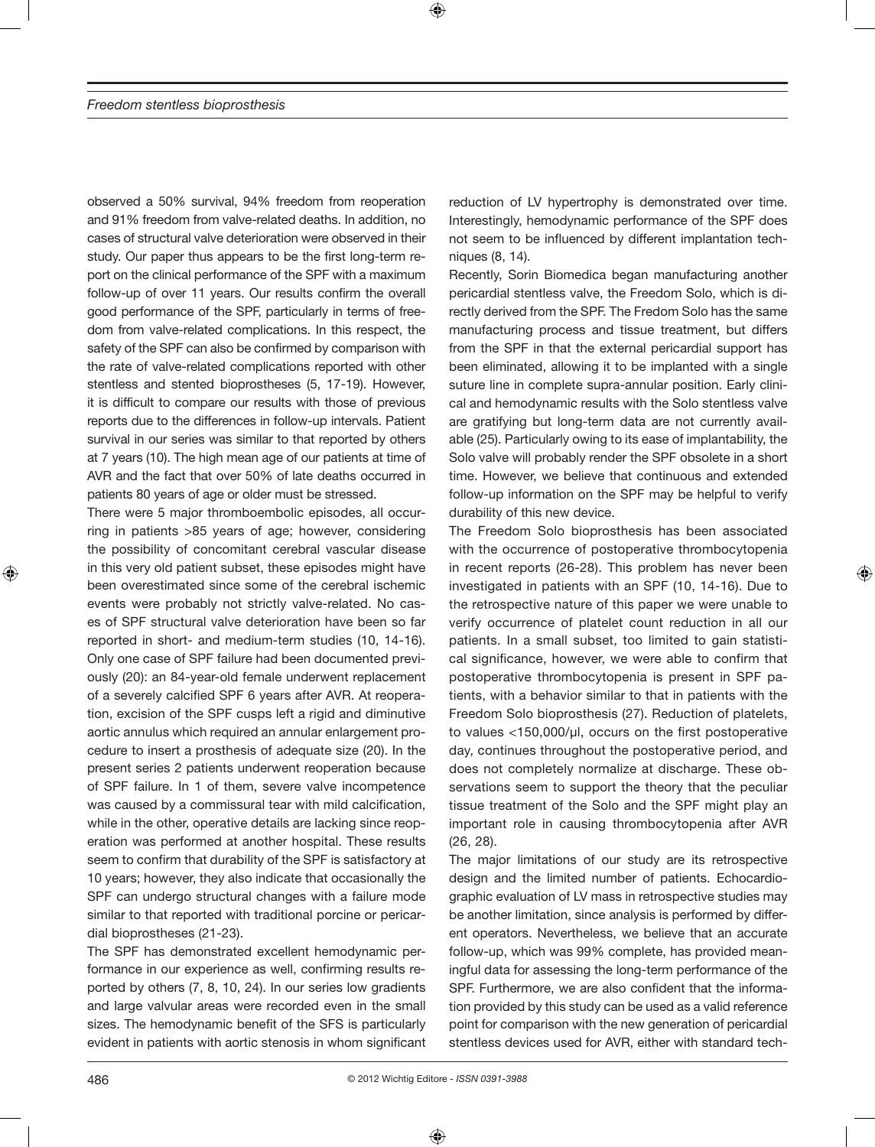observed a 50% survival, 94% freedom from reoperation and 91% freedom from valve-related deaths. In addition, no cases of structural valve deterioration were observed in their study. Our paper thus appears to be the first long-term report on the clinical performance of the SPF with a maximum follow-up of over 11 years. Our results confirm the overall good performance of the SPF, particularly in terms of freedom from valve-related complications. In this respect, the safety of the SPF can also be confirmed by comparison with the rate of valve-related complications reported with other stentless and stented bioprostheses (5, 17-19). However, it is difficult to compare our results with those of previous reports due to the differences in follow-up intervals. Patient survival in our series was similar to that reported by others at 7 years (10). The high mean age of our patients at time of AVR and the fact that over 50% of late deaths occurred in patients 80 years of age or older must be stressed.

There were 5 major thromboembolic episodes, all occurring in patients >85 years of age; however, considering the possibility of concomitant cerebral vascular disease in this very old patient subset, these episodes might have been overestimated since some of the cerebral ischemic events were probably not strictly valve-related. No cases of SPF structural valve deterioration have been so far reported in short- and medium-term studies (10, 14-16). Only one case of SPF failure had been documented previously (20): an 84-year-old female underwent replacement of a severely calcified SPF 6 years after AVR. At reoperation, excision of the SPF cusps left a rigid and diminutive aortic annulus which required an annular enlargement procedure to insert a prosthesis of adequate size (20). In the present series 2 patients underwent reoperation because of SPF failure. In 1 of them, severe valve incompetence was caused by a commissural tear with mild calcification, while in the other, operative details are lacking since reoperation was performed at another hospital. These results seem to confirm that durability of the SPF is satisfactory at 10 years; however, they also indicate that occasionally the SPF can undergo structural changes with a failure mode similar to that reported with traditional porcine or pericardial bioprostheses (21-23).

The SPF has demonstrated excellent hemodynamic performance in our experience as well, confirming results reported by others (7, 8, 10, 24). In our series low gradients and large valvular areas were recorded even in the small sizes. The hemodynamic benefit of the SFS is particularly evident in patients with aortic stenosis in whom significant reduction of LV hypertrophy is demonstrated over time. Interestingly, hemodynamic performance of the SPF does not seem to be influenced by different implantation techniques (8, 14).

Recently, Sorin Biomedica began manufacturing another pericardial stentless valve, the Freedom Solo, which is directly derived from the SPF. The Fredom Solo has the same manufacturing process and tissue treatment, but differs from the SPF in that the external pericardial support has been eliminated, allowing it to be implanted with a single suture line in complete supra-annular position. Early clinical and hemodynamic results with the Solo stentless valve are gratifying but long-term data are not currently available (25). Particularly owing to its ease of implantability, the Solo valve will probably render the SPF obsolete in a short time. However, we believe that continuous and extended follow-up information on the SPF may be helpful to verify durability of this new device.

The Freedom Solo bioprosthesis has been associated with the occurrence of postoperative thrombocytopenia in recent reports (26-28). This problem has never been investigated in patients with an SPF (10, 14-16). Due to the retrospective nature of this paper we were unable to verify occurrence of platelet count reduction in all our patients. In a small subset, too limited to gain statistical significance, however, we were able to confirm that postoperative thrombocytopenia is present in SPF patients, with a behavior similar to that in patients with the Freedom Solo bioprosthesis (27). Reduction of platelets, to values <150,000/µl, occurs on the first postoperative day, continues throughout the postoperative period, and does not completely normalize at discharge. These observations seem to support the theory that the peculiar tissue treatment of the Solo and the SPF might play an important role in causing thrombocytopenia after AVR (26, 28).

The major limitations of our study are its retrospective design and the limited number of patients. Echocardiographic evaluation of LV mass in retrospective studies may be another limitation, since analysis is performed by different operators. Nevertheless, we believe that an accurate follow-up, which was 99% complete, has provided meaningful data for assessing the long-term performance of the SPF. Furthermore, we are also confident that the information provided by this study can be used as a valid reference point for comparison with the new generation of pericardial stentless devices used for AVR, either with standard tech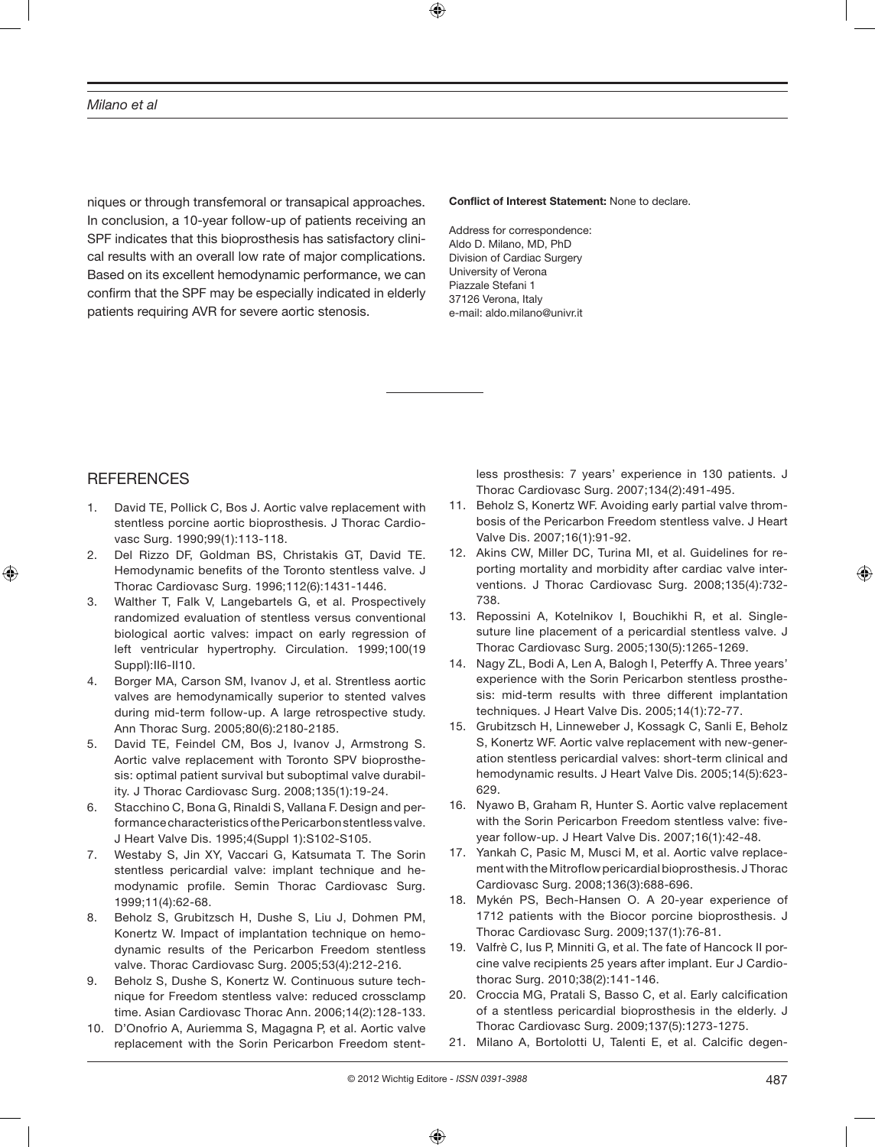niques or through transfemoral or transapical approaches. In conclusion, a 10-year follow-up of patients receiving an SPF indicates that this bioprosthesis has satisfactory clinical results with an overall low rate of major complications. Based on its excellent hemodynamic performance, we can confirm that the SPF may be especially indicated in elderly patients requiring AVR for severe aortic stenosis.

#### **Conflict of Interest Statement:** None to declare.

Address for correspondence: Aldo D. Milano, MD, PhD Division of Cardiac Surgery University of Verona Piazzale Stefani 1 37126 Verona, Italy e-mail: aldo.milano@univr.it

## **REFERENCES**

- 1. David TE, Pollick C, Bos J. Aortic valve replacement with stentless porcine aortic bioprosthesis. J Thorac Cardiovasc Surg. 1990;99(1):113-118.
- 2. Del Rizzo DF, Goldman BS, Christakis GT, David TE. Hemodynamic benefits of the Toronto stentless valve. J Thorac Cardiovasc Surg. 1996;112(6):1431-1446.
- 3. Walther T, Falk V, Langebartels G, et al. Prospectively randomized evaluation of stentless versus conventional biological aortic valves: impact on early regression of left ventricular hypertrophy. Circulation. 1999;100(19 Suppl):II6-II10.
- 4. Borger MA, Carson SM, Ivanov J, et al. Strentless aortic valves are hemodynamically superior to stented valves during mid-term follow-up. A large retrospective study. Ann Thorac Surg. 2005;80(6):2180-2185.
- 5. David TE, Feindel CM, Bos J, Ivanov J, Armstrong S. Aortic valve replacement with Toronto SPV bioprosthesis: optimal patient survival but suboptimal valve durability. J Thorac Cardiovasc Surg. 2008;135(1):19-24.
- 6. Stacchino C, Bona G, Rinaldi S, Vallana F. Design and performance characteristics of the Pericarbon stentless valve. J Heart Valve Dis. 1995;4(Suppl 1):S102-S105.
- 7. Westaby S, Jin XY, Vaccari G, Katsumata T. The Sorin stentless pericardial valve: implant technique and hemodynamic profile. Semin Thorac Cardiovasc Surg. 1999;11(4):62-68.
- 8. Beholz S, Grubitzsch H, Dushe S, Liu J, Dohmen PM, Konertz W. Impact of implantation technique on hemodynamic results of the Pericarbon Freedom stentless valve. Thorac Cardiovasc Surg. 2005;53(4):212-216.
- 9. Beholz S, Dushe S, Konertz W. Continuous suture technique for Freedom stentless valve: reduced crossclamp time. Asian Cardiovasc Thorac Ann. 2006;14(2):128-133.
- 10. D'Onofrio A, Auriemma S, Magagna P, et al. Aortic valve replacement with the Sorin Pericarbon Freedom stent-

less prosthesis: 7 years' experience in 130 patients. J Thorac Cardiovasc Surg. 2007;134(2):491-495.

- 11. Beholz S, Konertz WF. Avoiding early partial valve thrombosis of the Pericarbon Freedom stentless valve. J Heart Valve Dis. 2007;16(1):91-92.
- 12. Akins CW, Miller DC, Turina MI, et al. Guidelines for reporting mortality and morbidity after cardiac valve interventions. J Thorac Cardiovasc Surg. 2008;135(4):732- 738.
- 13. Repossini A, Kotelnikov I, Bouchikhi R, et al. Singlesuture line placement of a pericardial stentless valve. J Thorac Cardiovasc Surg. 2005;130(5):1265-1269.
- 14. Nagy ZL, Bodi A, Len A, Balogh I, Peterffy A. Three years' experience with the Sorin Pericarbon stentless prosthesis: mid-term results with three different implantation techniques. J Heart Valve Dis. 2005;14(1):72-77.
- 15. Grubitzsch H, Linneweber J, Kossagk C, Sanli E, Beholz S, Konertz WF. Aortic valve replacement with new-generation stentless pericardial valves: short-term clinical and hemodynamic results. J Heart Valve Dis. 2005;14(5):623- 629.
- 16. Nyawo B, Graham R, Hunter S. Aortic valve replacement with the Sorin Pericarbon Freedom stentless valve: fiveyear follow-up. J Heart Valve Dis. 2007;16(1):42-48.
- 17. Yankah C, Pasic M, Musci M, et al. Aortic valve replacement with the Mitroflow pericardial bioprosthesis. J Thorac Cardiovasc Surg. 2008;136(3):688-696.
- 18. Mykén PS, Bech-Hansen O. A 20-year experience of 1712 patients with the Biocor porcine bioprosthesis. J Thorac Cardiovasc Surg. 2009;137(1):76-81.
- 19. Valfrè C, Ius P, Minniti G, et al. The fate of Hancock II porcine valve recipients 25 years after implant. Eur J Cardiothorac Surg. 2010;38(2):141-146.
- 20. Croccia MG, Pratali S, Basso C, et al. Early calcification of a stentless pericardial bioprosthesis in the elderly. J Thorac Cardiovasc Surg. 2009;137(5):1273-1275.
- 21. Milano A, Bortolotti U, Talenti E, et al. Calcific degen-